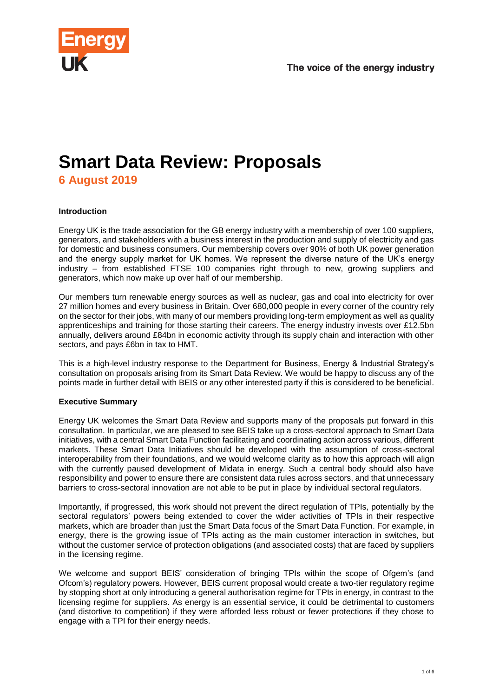

# **Smart Data Review: Proposals 6 August 2019**

## **Introduction**

Energy UK is the trade association for the GB energy industry with a membership of over 100 suppliers, generators, and stakeholders with a business interest in the production and supply of electricity and gas for domestic and business consumers. Our membership covers over 90% of both UK power generation and the energy supply market for UK homes. We represent the diverse nature of the UK's energy industry – from established FTSE 100 companies right through to new, growing suppliers and generators, which now make up over half of our membership.

Our members turn renewable energy sources as well as nuclear, gas and coal into electricity for over 27 million homes and every business in Britain. Over 680,000 people in every corner of the country rely on the sector for their jobs, with many of our members providing long-term employment as well as quality apprenticeships and training for those starting their careers. The energy industry invests over £12.5bn annually, delivers around £84bn in economic activity through its supply chain and interaction with other sectors, and pays £6bn in tax to HMT.

This is a high-level industry response to the Department for Business, Energy & Industrial Strategy's consultation on proposals arising from its Smart Data Review. We would be happy to discuss any of the points made in further detail with BEIS or any other interested party if this is considered to be beneficial.

### **Executive Summary**

Energy UK welcomes the Smart Data Review and supports many of the proposals put forward in this consultation. In particular, we are pleased to see BEIS take up a cross-sectoral approach to Smart Data initiatives, with a central Smart Data Function facilitating and coordinating action across various, different markets. These Smart Data Initiatives should be developed with the assumption of cross-sectoral interoperability from their foundations, and we would welcome clarity as to how this approach will align with the currently paused development of Midata in energy. Such a central body should also have responsibility and power to ensure there are consistent data rules across sectors, and that unnecessary barriers to cross-sectoral innovation are not able to be put in place by individual sectoral regulators.

Importantly, if progressed, this work should not prevent the direct regulation of TPIs, potentially by the sectoral regulators' powers being extended to cover the wider activities of TPIs in their respective markets, which are broader than just the Smart Data focus of the Smart Data Function. For example, in energy, there is the growing issue of TPIs acting as the main customer interaction in switches, but without the customer service of protection obligations (and associated costs) that are faced by suppliers in the licensing regime.

We welcome and support BEIS' consideration of bringing TPIs within the scope of Ofgem's (and Ofcom's) regulatory powers. However, BEIS current proposal would create a two-tier regulatory regime by stopping short at only introducing a general authorisation regime for TPIs in energy, in contrast to the licensing regime for suppliers. As energy is an essential service, it could be detrimental to customers (and distortive to competition) if they were afforded less robust or fewer protections if they chose to engage with a TPI for their energy needs.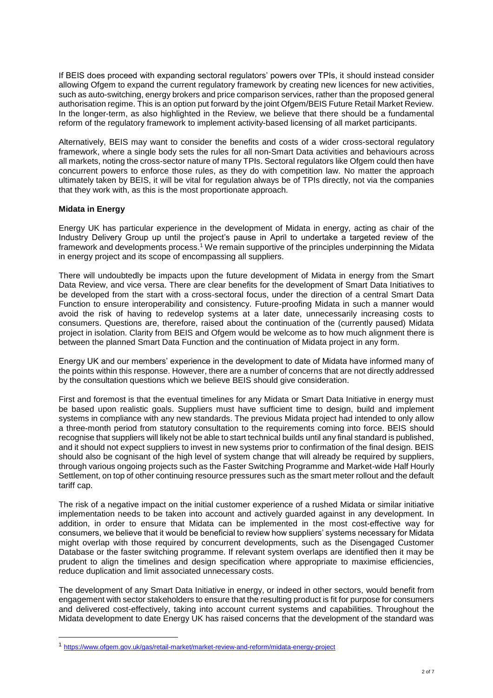If BEIS does proceed with expanding sectoral regulators' powers over TPIs, it should instead consider allowing Ofgem to expand the current regulatory framework by creating new licences for new activities, such as auto-switching, energy brokers and price comparison services, rather than the proposed general authorisation regime. This is an option put forward by the joint Ofgem/BEIS Future Retail Market Review. In the longer-term, as also highlighted in the Review, we believe that there should be a fundamental reform of the regulatory framework to implement activity-based licensing of all market participants.

Alternatively, BEIS may want to consider the benefits and costs of a wider cross-sectoral regulatory framework, where a single body sets the rules for all non-Smart Data activities and behaviours across all markets, noting the cross-sector nature of many TPIs. Sectoral regulators like Ofgem could then have concurrent powers to enforce those rules, as they do with competition law. No matter the approach ultimately taken by BEIS, it will be vital for regulation always be of TPIs directly, not via the companies that they work with, as this is the most proportionate approach.

## **Midata in Energy**

l

Energy UK has particular experience in the development of Midata in energy, acting as chair of the Industry Delivery Group up until the project's pause in April to undertake a targeted review of the framework and developments process.<sup>1</sup> We remain supportive of the principles underpinning the Midata in energy project and its scope of encompassing all suppliers.

There will undoubtedly be impacts upon the future development of Midata in energy from the Smart Data Review, and vice versa. There are clear benefits for the development of Smart Data Initiatives to be developed from the start with a cross-sectoral focus, under the direction of a central Smart Data Function to ensure interoperability and consistency. Future-proofing Midata in such a manner would avoid the risk of having to redevelop systems at a later date, unnecessarily increasing costs to consumers. Questions are, therefore, raised about the continuation of the (currently paused) Midata project in isolation. Clarity from BEIS and Ofgem would be welcome as to how much alignment there is between the planned Smart Data Function and the continuation of Midata project in any form.

Energy UK and our members' experience in the development to date of Midata have informed many of the points within this response. However, there are a number of concerns that are not directly addressed by the consultation questions which we believe BEIS should give consideration.

First and foremost is that the eventual timelines for any Midata or Smart Data Initiative in energy must be based upon realistic goals. Suppliers must have sufficient time to design, build and implement systems in compliance with any new standards. The previous Midata project had intended to only allow a three-month period from statutory consultation to the requirements coming into force. BEIS should recognise that suppliers will likely not be able to start technical builds until any final standard is published, and it should not expect suppliers to invest in new systems prior to confirmation of the final design. BEIS should also be cognisant of the high level of system change that will already be required by suppliers, through various ongoing projects such as the Faster Switching Programme and Market-wide Half Hourly Settlement, on top of other continuing resource pressures such as the smart meter rollout and the default tariff cap.

The risk of a negative impact on the initial customer experience of a rushed Midata or similar initiative implementation needs to be taken into account and actively guarded against in any development. In addition, in order to ensure that Midata can be implemented in the most cost-effective way for consumers, we believe that it would be beneficial to review how suppliers' systems necessary for Midata might overlap with those required by concurrent developments, such as the Disengaged Customer Database or the faster switching programme. If relevant system overlaps are identified then it may be prudent to align the timelines and design specification where appropriate to maximise efficiencies, reduce duplication and limit associated unnecessary costs.

The development of any Smart Data Initiative in energy, or indeed in other sectors, would benefit from engagement with sector stakeholders to ensure that the resulting product is fit for purpose for consumers and delivered cost-effectively, taking into account current systems and capabilities. Throughout the Midata development to date Energy UK has raised concerns that the development of the standard was

<sup>1</sup> <https://www.ofgem.gov.uk/gas/retail-market/market-review-and-reform/midata-energy-project>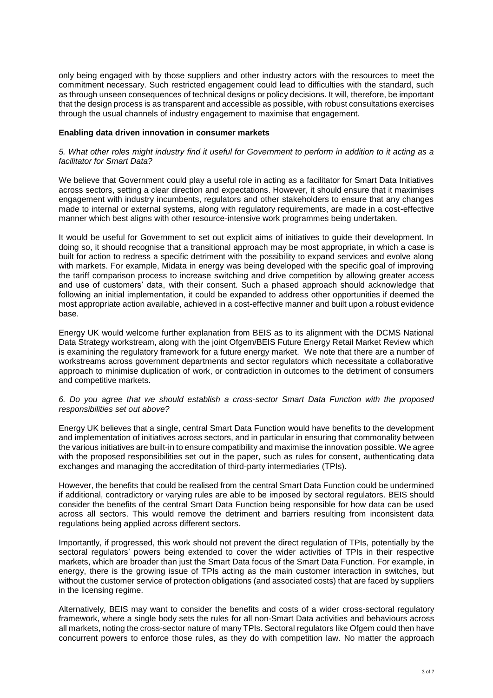only being engaged with by those suppliers and other industry actors with the resources to meet the commitment necessary. Such restricted engagement could lead to difficulties with the standard, such as through unseen consequences of technical designs or policy decisions. It will, therefore, be important that the design process is as transparent and accessible as possible, with robust consultations exercises through the usual channels of industry engagement to maximise that engagement.

### **Enabling data driven innovation in consumer markets**

#### *5. What other roles might industry find it useful for Government to perform in addition to it acting as a facilitator for Smart Data?*

We believe that Government could play a useful role in acting as a facilitator for Smart Data Initiatives across sectors, setting a clear direction and expectations. However, it should ensure that it maximises engagement with industry incumbents, regulators and other stakeholders to ensure that any changes made to internal or external systems, along with regulatory requirements, are made in a cost-effective manner which best aligns with other resource-intensive work programmes being undertaken.

It would be useful for Government to set out explicit aims of initiatives to guide their development. In doing so, it should recognise that a transitional approach may be most appropriate, in which a case is built for action to redress a specific detriment with the possibility to expand services and evolve along with markets. For example, Midata in energy was being developed with the specific goal of improving the tariff comparison process to increase switching and drive competition by allowing greater access and use of customers' data, with their consent. Such a phased approach should acknowledge that following an initial implementation, it could be expanded to address other opportunities if deemed the most appropriate action available, achieved in a cost-effective manner and built upon a robust evidence base.

Energy UK would welcome further explanation from BEIS as to its alignment with the DCMS National Data Strategy workstream, along with the joint Ofgem/BEIS Future Energy Retail Market Review which is examining the regulatory framework for a future energy market. We note that there are a number of workstreams across government departments and sector regulators which necessitate a collaborative approach to minimise duplication of work, or contradiction in outcomes to the detriment of consumers and competitive markets.

### *6. Do you agree that we should establish a cross-sector Smart Data Function with the proposed responsibilities set out above?*

Energy UK believes that a single, central Smart Data Function would have benefits to the development and implementation of initiatives across sectors, and in particular in ensuring that commonality between the various initiatives are built-in to ensure compatibility and maximise the innovation possible. We agree with the proposed responsibilities set out in the paper, such as rules for consent, authenticating data exchanges and managing the accreditation of third-party intermediaries (TPIs).

However, the benefits that could be realised from the central Smart Data Function could be undermined if additional, contradictory or varying rules are able to be imposed by sectoral regulators. BEIS should consider the benefits of the central Smart Data Function being responsible for how data can be used across all sectors. This would remove the detriment and barriers resulting from inconsistent data regulations being applied across different sectors.

Importantly, if progressed, this work should not prevent the direct regulation of TPIs, potentially by the sectoral regulators' powers being extended to cover the wider activities of TPIs in their respective markets, which are broader than just the Smart Data focus of the Smart Data Function. For example, in energy, there is the growing issue of TPIs acting as the main customer interaction in switches, but without the customer service of protection obligations (and associated costs) that are faced by suppliers in the licensing regime.

Alternatively, BEIS may want to consider the benefits and costs of a wider cross-sectoral regulatory framework, where a single body sets the rules for all non-Smart Data activities and behaviours across all markets, noting the cross-sector nature of many TPIs. Sectoral regulators like Ofgem could then have concurrent powers to enforce those rules, as they do with competition law. No matter the approach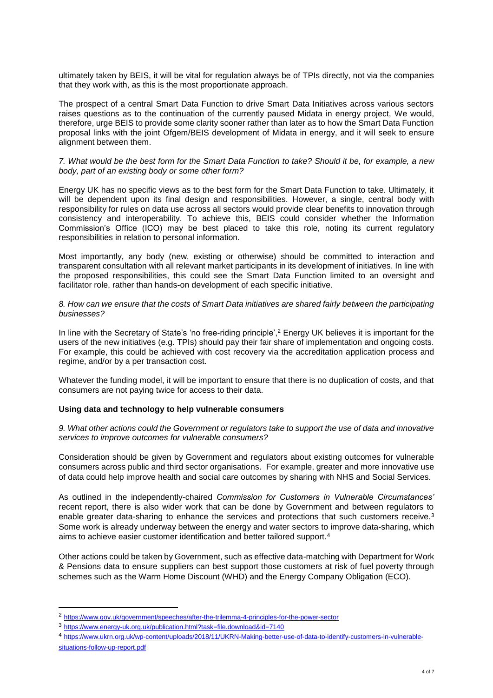ultimately taken by BEIS, it will be vital for regulation always be of TPIs directly, not via the companies that they work with, as this is the most proportionate approach.

The prospect of a central Smart Data Function to drive Smart Data Initiatives across various sectors raises questions as to the continuation of the currently paused Midata in energy project, We would, therefore, urge BEIS to provide some clarity sooner rather than later as to how the Smart Data Function proposal links with the joint Ofgem/BEIS development of Midata in energy, and it will seek to ensure alignment between them.

#### *7. What would be the best form for the Smart Data Function to take? Should it be, for example, a new body, part of an existing body or some other form?*

Energy UK has no specific views as to the best form for the Smart Data Function to take. Ultimately, it will be dependent upon its final design and responsibilities. However, a single, central body with responsibility for rules on data use across all sectors would provide clear benefits to innovation through consistency and interoperability. To achieve this, BEIS could consider whether the Information Commission's Office (ICO) may be best placed to take this role, noting its current regulatory responsibilities in relation to personal information.

Most importantly, any body (new, existing or otherwise) should be committed to interaction and transparent consultation with all relevant market participants in its development of initiatives. In line with the proposed responsibilities, this could see the Smart Data Function limited to an oversight and facilitator role, rather than hands-on development of each specific initiative.

*8. How can we ensure that the costs of Smart Data initiatives are shared fairly between the participating businesses?*

In line with the Secretary of State's 'no free-riding principle',<sup>2</sup> Energy UK believes it is important for the users of the new initiatives (e.g. TPIs) should pay their fair share of implementation and ongoing costs. For example, this could be achieved with cost recovery via the accreditation application process and regime, and/or by a per transaction cost.

Whatever the funding model, it will be important to ensure that there is no duplication of costs, and that consumers are not paying twice for access to their data.

### **Using data and technology to help vulnerable consumers**

### *9. What other actions could the Government or regulators take to support the use of data and innovative services to improve outcomes for vulnerable consumers?*

Consideration should be given by Government and regulators about existing outcomes for vulnerable consumers across public and third sector organisations. For example, greater and more innovative use of data could help improve health and social care outcomes by sharing with NHS and Social Services.

As outlined in the independently-chaired *Commission for Customers in Vulnerable Circumstances'* recent report, there is also wider work that can be done by Government and between regulators to enable greater data-sharing to enhance the services and protections that such customers receive.<sup>3</sup> Some work is already underway between the energy and water sectors to improve data-sharing, which aims to achieve easier customer identification and better tailored support.<sup>4</sup>

Other actions could be taken by Government, such as effective data-matching with Department for Work & Pensions data to ensure suppliers can best support those customers at risk of fuel poverty through schemes such as the Warm Home Discount (WHD) and the Energy Company Obligation (ECO).

l

<sup>2</sup> <https://www.gov.uk/government/speeches/after-the-trilemma-4-principles-for-the-power-sector>

<sup>3</sup> <https://www.energy-uk.org.uk/publication.html?task=file.download&id=7140>

<sup>4</sup> [https://www.ukrn.org.uk/wp-content/uploads/2018/11/UKRN-Making-better-use-of-data-to-identify-customers-in-vulnerable](https://www.ukrn.org.uk/wp-content/uploads/2018/11/UKRN-Making-better-use-of-data-to-identify-customers-in-vulnerable-situations-follow-up-report.pdf)[situations-follow-up-report.pdf](https://www.ukrn.org.uk/wp-content/uploads/2018/11/UKRN-Making-better-use-of-data-to-identify-customers-in-vulnerable-situations-follow-up-report.pdf)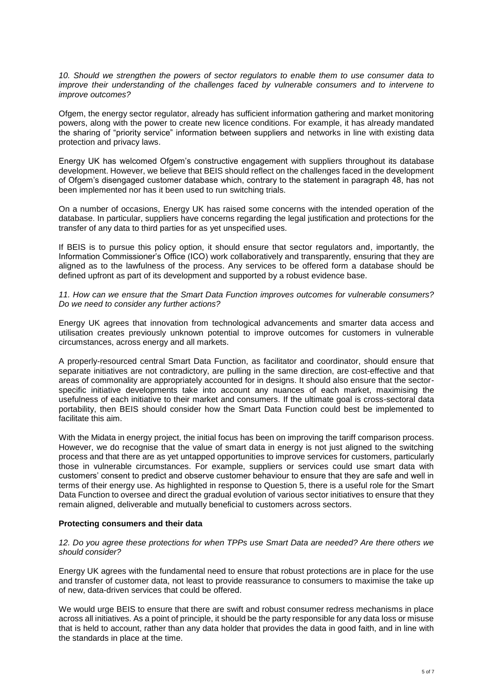*10. Should we strengthen the powers of sector regulators to enable them to use consumer data to improve their understanding of the challenges faced by vulnerable consumers and to intervene to improve outcomes?*

Ofgem, the energy sector regulator, already has sufficient information gathering and market monitoring powers, along with the power to create new licence conditions. For example, it has already mandated the sharing of "priority service" information between suppliers and networks in line with existing data protection and privacy laws.

Energy UK has welcomed Ofgem's constructive engagement with suppliers throughout its database development. However, we believe that BEIS should reflect on the challenges faced in the development of Ofgem's disengaged customer database which, contrary to the statement in paragraph 48, has not been implemented nor has it been used to run switching trials.

On a number of occasions, Energy UK has raised some concerns with the intended operation of the database. In particular, suppliers have concerns regarding the legal justification and protections for the transfer of any data to third parties for as yet unspecified uses.

If BEIS is to pursue this policy option, it should ensure that sector regulators and, importantly, the Information Commissioner's Office (ICO) work collaboratively and transparently, ensuring that they are aligned as to the lawfulness of the process. Any services to be offered form a database should be defined upfront as part of its development and supported by a robust evidence base.

*11. How can we ensure that the Smart Data Function improves outcomes for vulnerable consumers? Do we need to consider any further actions?*

Energy UK agrees that innovation from technological advancements and smarter data access and utilisation creates previously unknown potential to improve outcomes for customers in vulnerable circumstances, across energy and all markets.

A properly-resourced central Smart Data Function, as facilitator and coordinator, should ensure that separate initiatives are not contradictory, are pulling in the same direction, are cost-effective and that areas of commonality are appropriately accounted for in designs. It should also ensure that the sectorspecific initiative developments take into account any nuances of each market, maximising the usefulness of each initiative to their market and consumers. If the ultimate goal is cross-sectoral data portability, then BEIS should consider how the Smart Data Function could best be implemented to facilitate this aim.

With the Midata in energy project, the initial focus has been on improving the tariff comparison process. However, we do recognise that the value of smart data in energy is not just aligned to the switching process and that there are as yet untapped opportunities to improve services for customers, particularly those in vulnerable circumstances. For example, suppliers or services could use smart data with customers' consent to predict and observe customer behaviour to ensure that they are safe and well in terms of their energy use. As highlighted in response to Question 5, there is a useful role for the Smart Data Function to oversee and direct the gradual evolution of various sector initiatives to ensure that they remain aligned, deliverable and mutually beneficial to customers across sectors.

### **Protecting consumers and their data**

*12. Do you agree these protections for when TPPs use Smart Data are needed? Are there others we should consider?*

Energy UK agrees with the fundamental need to ensure that robust protections are in place for the use and transfer of customer data, not least to provide reassurance to consumers to maximise the take up of new, data-driven services that could be offered.

We would urge BEIS to ensure that there are swift and robust consumer redress mechanisms in place across all initiatives. As a point of principle, it should be the party responsible for any data loss or misuse that is held to account, rather than any data holder that provides the data in good faith, and in line with the standards in place at the time.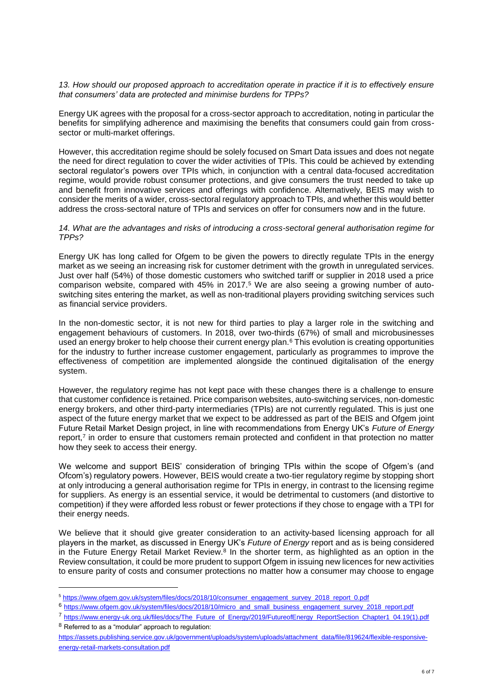*13. How should our proposed approach to accreditation operate in practice if it is to effectively ensure that consumers' data are protected and minimise burdens for TPPs?*

Energy UK agrees with the proposal for a cross-sector approach to accreditation, noting in particular the benefits for simplifying adherence and maximising the benefits that consumers could gain from crosssector or multi-market offerings.

However, this accreditation regime should be solely focused on Smart Data issues and does not negate the need for direct regulation to cover the wider activities of TPIs. This could be achieved by extending sectoral regulator's powers over TPIs which, in conjunction with a central data-focused accreditation regime, would provide robust consumer protections, and give consumers the trust needed to take up and benefit from innovative services and offerings with confidence. Alternatively, BEIS may wish to consider the merits of a wider, cross-sectoral regulatory approach to TPIs, and whether this would better address the cross-sectoral nature of TPIs and services on offer for consumers now and in the future.

*14. What are the advantages and risks of introducing a cross-sectoral general authorisation regime for TPPs?*

Energy UK has long called for Ofgem to be given the powers to directly regulate TPIs in the energy market as we seeing an increasing risk for customer detriment with the growth in unregulated services. Just over half (54%) of those domestic customers who switched tariff or supplier in 2018 used a price comparison website, compared with 45% in 2017.<sup>5</sup> We are also seeing a growing number of autoswitching sites entering the market, as well as non-traditional players providing switching services such as financial service providers.

In the non-domestic sector, it is not new for third parties to play a larger role in the switching and engagement behaviours of customers. In 2018, over two-thirds (67%) of small and microbusinesses used an energy broker to help choose their current energy plan.<sup>6</sup> This evolution is creating opportunities for the industry to further increase customer engagement, particularly as programmes to improve the effectiveness of competition are implemented alongside the continued digitalisation of the energy system.

However, the regulatory regime has not kept pace with these changes there is a challenge to ensure that customer confidence is retained. Price comparison websites, auto-switching services, non-domestic energy brokers, and other third-party intermediaries (TPIs) are not currently regulated. This is just one aspect of the future energy market that we expect to be addressed as part of the BEIS and Ofgem joint Future Retail Market Design project, in line with recommendations from Energy UK's *Future of Energy* report,<sup>7</sup> in order to ensure that customers remain protected and confident in that protection no matter how they seek to access their energy.

We welcome and support BEIS' consideration of bringing TPIs within the scope of Ofgem's (and Ofcom's) regulatory powers. However, BEIS would create a two-tier regulatory regime by stopping short at only introducing a general authorisation regime for TPIs in energy, in contrast to the licensing regime for suppliers. As energy is an essential service, it would be detrimental to customers (and distortive to competition) if they were afforded less robust or fewer protections if they chose to engage with a TPI for their energy needs.

We believe that it should give greater consideration to an activity-based licensing approach for all players in the market, as discussed in Energy UK's *Future of Energy* report and as is being considered in the Future Energy Retail Market Review.<sup>8</sup> In the shorter term, as highlighted as an option in the Review consultation, it could be more prudent to support Ofgem in issuing new licences for new activities to ensure parity of costs and consumer protections no matter how a consumer may choose to engage

<sup>8</sup> Referred to as a "modular" approach to regulation:

l

<sup>5</sup> [https://www.ofgem.gov.uk/system/files/docs/2018/10/consumer\\_engagement\\_survey\\_2018\\_report\\_0.pdf](https://www.ofgem.gov.uk/system/files/docs/2018/10/consumer_engagement_survey_2018_report_0.pdf)

<sup>6</sup> [https://www.ofgem.gov.uk/system/files/docs/2018/10/micro\\_and\\_small\\_business\\_engagement\\_survey\\_2018\\_report.pdf](https://www.ofgem.gov.uk/system/files/docs/2018/10/micro_and_small_business_engagement_survey_2018_report.pdf)

<sup>7</sup> [https://www.energy-uk.org.uk/files/docs/The\\_Future\\_of\\_Energy/2019/FutureofEnergy\\_ReportSection\\_Chapter1\\_04.19\(1\).pdf](https://www.energy-uk.org.uk/files/docs/The_Future_of_Energy/2019/FutureofEnergy_ReportSection_Chapter1_04.19(1).pdf)

[https://assets.publishing.service.gov.uk/government/uploads/system/uploads/attachment\\_data/file/819624/flexible-responsive](https://assets.publishing.service.gov.uk/government/uploads/system/uploads/attachment_data/file/819624/flexible-responsive-energy-retail-markets-consultation.pdf)[energy-retail-markets-consultation.pdf](https://assets.publishing.service.gov.uk/government/uploads/system/uploads/attachment_data/file/819624/flexible-responsive-energy-retail-markets-consultation.pdf)